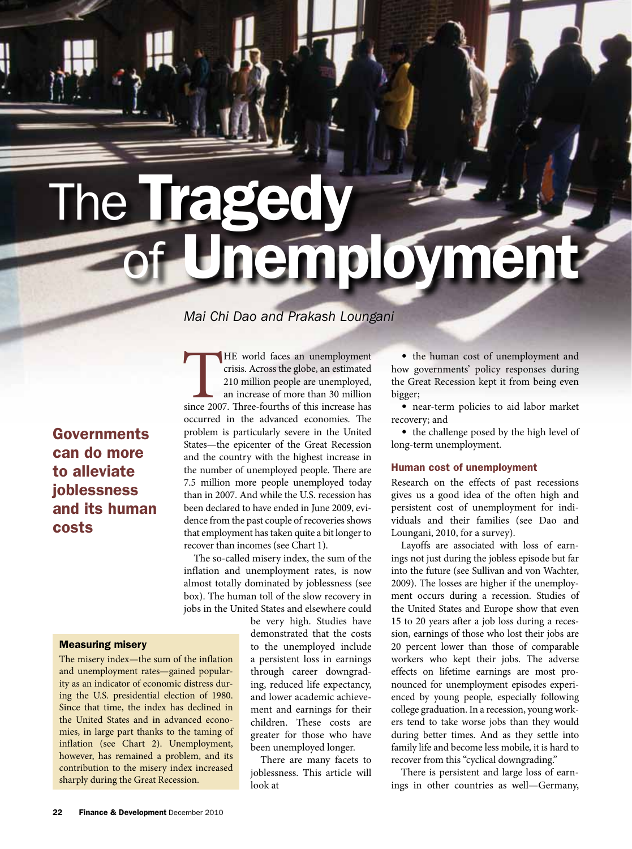# **The Tragedy** employmen

# *Mai Chi Dao and Prakash Loungani*

**Governments** can do more to alleviate joblessness and its human costs

# Measuring misery

The misery index—the sum of the inflation and unemployment rates—gained popularity as an indicator of economic distress during the U.S. presidential election of 1980. Since that time, the index has declined in the United States and in advanced economies, in large part thanks to the taming of inflation (see Chart 2). Unemployment, however, has remained a problem, and its contribution to the misery index increased sharply during the Great Recession.

THE world faces an unemployment<br>crisis. Across the globe, an estimated<br>210 million people are unemployed,<br>an increase of more than 30 million<br>since 2007. Three-fourths of this increase has crisis. Across the globe, an estimated 210 million people are unemployed, an increase of more than 30 million since 2007. Three-fourths of this increase has occurred in the advanced economies. The problem is particularly severe in the United States—the epicenter of the Great Recession and the country with the highest increase in the number of unemployed people. There are 7.5 million more people unemployed today than in 2007. And while the U.S. recession has been declared to have ended in June 2009, evidence from the past couple of recoveries shows that employment has taken quite a bit longer to recover than incomes (see Chart 1).

The so-called misery index, the sum of the inflation and unemployment rates, is now almost totally dominated by joblessness (see box). The human toll of the slow recovery in jobs in the United States and elsewhere could

> be very high. Studies have demonstrated that the costs to the unemployed include a persistent loss in earnings through career downgrading, reduced life expectancy, and lower academic achievement and earnings for their children. These costs are greater for those who have been unemployed longer.

There are many facets to joblessness. This article will look at

• the human cost of unemployment and how governments' policy responses during the Great Recession kept it from being even bigger;

• near-term policies to aid labor market recovery; and

• the challenge posed by the high level of long-term unemployment.

## Human cost of unemployment

Research on the effects of past recessions gives us a good idea of the often high and persistent cost of unemployment for individuals and their families (see Dao and Loungani, 2010, for a survey).

Layoffs are associated with loss of earnings not just during the jobless episode but far into the future (see Sullivan and von Wachter, 2009). The losses are higher if the unemployment occurs during a recession. Studies of the United States and Europe show that even 15 to 20 years after a job loss during a recession, earnings of those who lost their jobs are 20 percent lower than those of comparable workers who kept their jobs. The adverse effects on lifetime earnings are most pronounced for unemployment episodes experienced by young people, especially following college graduation. In a recession, young workers tend to take worse jobs than they would during better times. And as they settle into family life and become less mobile, it is hard to recover from this "cyclical downgrading."

There is persistent and large loss of earnings in other countries as well—Germany,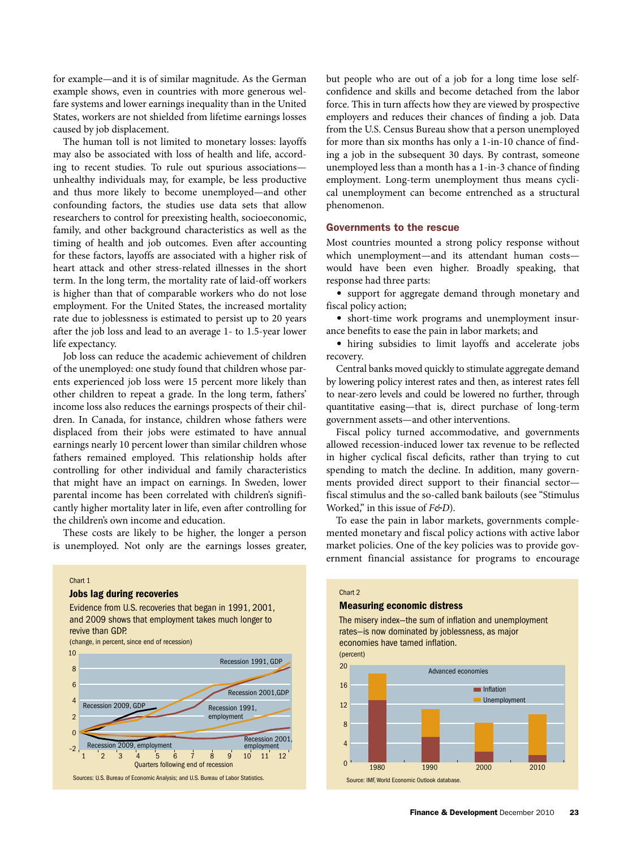for example—and it is of similar magnitude. As the German example shows, even in countries with more generous welfare systems and lower earnings inequality than in the United States, workers are not shielded from lifetime earnings losses caused by job displacement.

The human toll is not limited to monetary losses: layoffs may also be associated with loss of health and life, according to recent studies. To rule out spurious associations unhealthy individuals may, for example, be less productive and thus more likely to become unemployed—and other confounding factors, the studies use data sets that allow researchers to control for preexisting health, socioeconomic, family, and other background characteristics as well as the timing of health and job outcomes. Even after accounting for these factors, layoffs are associated with a higher risk of heart attack and other stress-related illnesses in the short term. In the long term, the mortality rate of laid-off workers is higher than that of comparable workers who do not lose employment. For the United States, the increased mortality rate due to joblessness is estimated to persist up to 20 years after the job loss and lead to an average 1- to 1.5-year lower life expectancy.

Job loss can reduce the academic achievement of children of the unemployed: one study found that children whose parents experienced job loss were 15 percent more likely than other children to repeat a grade. In the long term, fathers' income loss also reduces the earnings prospects of their children. In Canada, for instance, children whose fathers were displaced from their jobs were estimated to have annual earnings nearly 10 percent lower than similar children whose fathers remained employed. This relationship holds after controlling for other individual and family characteristics that might have an impact on earnings. In Sweden, lower parental income has been correlated with children's significantly higher mortality later in life, even after controlling for the children's own income and education.

These costs are likely to be higher, the longer a person is unemployed. Not only are the earnings losses greater,

# Chart 1

#### Jobs lag during recoveries

Evidence from U.S. recoveries that began in 1991, 2001, and 2009 shows that employment takes much longer to revive than GDP. (change, in percent, since end of recession)



but people who are out of a job for a long time lose selfconfidence and skills and become detached from the labor force. This in turn affects how they are viewed by prospective employers and reduces their chances of finding a job. Data from the U.S. Census Bureau show that a person unemployed for more than six months has only a 1-in-10 chance of finding a job in the subsequent 30 days. By contrast, someone unemployed less than a month has a 1-in-3 chance of finding employment. Long-term unemployment thus means cyclical unemployment can become entrenched as a structural phenomenon.

# Governments to the rescue

Most countries mounted a strong policy response without which unemployment—and its attendant human costs would have been even higher. Broadly speaking, that response had three parts:

• support for aggregate demand through monetary and fiscal policy action;

• short-time work programs and unemployment insurance benefits to ease the pain in labor markets; and

• hiring subsidies to limit layoffs and accelerate jobs recovery.

Central banks moved quickly to stimulate aggregate demand by lowering policy interest rates and then, as interest rates fell to near-zero levels and could be lowered no further, through quantitative easing—that is, direct purchase of long-term government assets—and other interventions.

Fiscal policy turned accommodative, and governments allowed recession-induced lower tax revenue to be reflected in higher cyclical fiscal deficits, rather than trying to cut spending to match the decline. In addition, many governments provided direct support to their financial sector fiscal stimulus and the so-called bank bailouts (see "Stimulus Worked," in this issue of *F&D*).

To ease the pain in labor markets, governments complemented monetary and fiscal policy actions with active labor market policies. One of the key policies was to provide government financial assistance for programs to encourage

#### Chart 2

### Measuring economic distress

The misery index-the sum of inflation and unemployment rates—is now dominated by joblessness, as major economies have tamed inflation.

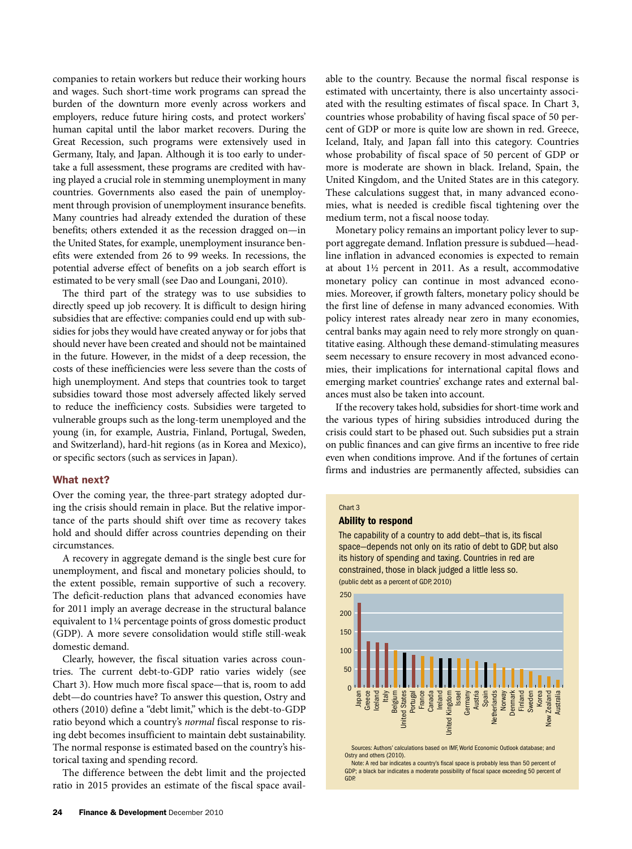companies to retain workers but reduce their working hours and wages. Such short-time work programs can spread the burden of the downturn more evenly across workers and employers, reduce future hiring costs, and protect workers' human capital until the labor market recovers. During the Great Recession, such programs were extensively used in Germany, Italy, and Japan. Although it is too early to undertake a full assessment, these programs are credited with having played a crucial role in stemming unemployment in many countries. Governments also eased the pain of unemployment through provision of unemployment insurance benefits. Many countries had already extended the duration of these benefits; others extended it as the recession dragged on—in the United States, for example, unemployment insurance benefits were extended from 26 to 99 weeks. In recessions, the potential adverse effect of benefits on a job search effort is estimated to be very small (see Dao and Loungani, 2010).

The third part of the strategy was to use subsidies to directly speed up job recovery. It is difficult to design hiring subsidies that are effective: companies could end up with subsidies for jobs they would have created anyway or for jobs that should never have been created and should not be maintained in the future. However, in the midst of a deep recession, the costs of these inefficiencies were less severe than the costs of high unemployment. And steps that countries took to target subsidies toward those most adversely affected likely served to reduce the inefficiency costs. Subsidies were targeted to vulnerable groups such as the long-term unemployed and the young (in, for example, Austria, Finland, Portugal, Sweden, and Switzerland), hard-hit regions (as in Korea and Mexico), or specific sectors (such as services in Japan).

# What next?

Over the coming year, the three-part strategy adopted during the crisis should remain in place. But the relative importance of the parts should shift over time as recovery takes hold and should differ across countries depending on their circumstances.

A recovery in aggregate demand is the single best cure for unemployment, and fiscal and monetary policies should, to the extent possible, remain supportive of such a recovery. The deficit-reduction plans that advanced economies have for 2011 imply an average decrease in the structural balance equivalent to 1¼ percentage points of gross domestic product (GDP). A more severe consolidation would stifle still-weak domestic demand.

Clearly, however, the fiscal situation varies across countries. The current debt-to-GDP ratio varies widely (see Chart 3). How much more fiscal space—that is, room to add debt—do countries have? To answer this question, Ostry and others (2010) define a "debt limit," which is the debt-to-GDP ratio beyond which a country's *normal* fiscal response to rising debt becomes insufficient to maintain debt sustainability. The normal response is estimated based on the country's historical taxing and spending record.

The difference between the debt limit and the projected ratio in 2015 provides an estimate of the fiscal space available to the country. Because the normal fiscal response is estimated with uncertainty, there is also uncertainty associated with the resulting estimates of fiscal space. In Chart 3, countries whose probability of having fiscal space of 50 percent of GDP or more is quite low are shown in red. Greece, Iceland, Italy, and Japan fall into this category. Countries whose probability of fiscal space of 50 percent of GDP or more is moderate are shown in black. Ireland, Spain, the United Kingdom, and the United States are in this category. These calculations suggest that, in many advanced economies, what is needed is credible fiscal tightening over the medium term, not a fiscal noose today.

Monetary policy remains an important policy lever to support aggregate demand. Inflation pressure is subdued—headline inflation in advanced economies is expected to remain at about 1½ percent in 2011. As a result, accommodative monetary policy can continue in most advanced economies. Moreover, if growth falters, monetary policy should be the first line of defense in many advanced economies. With policy interest rates already near zero in many economies, central banks may again need to rely more strongly on quantitative easing. Although these demand-stimulating measures seem necessary to ensure recovery in most advanced economies, their implications for international capital flows and emerging market countries' exchange rates and external balances must also be taken into account.

If the recovery takes hold, subsidies for short-time work and the various types of hiring subsidies introduced during the crisis could start to be phased out. Such subsidies put a strain on public finances and can give firms an incentive to free ride even when conditions improve. And if the fortunes of certain firms and industries are permanently affected, subsidies can

#### Chart 3

## Ability to respond

The capability of a country to add debt-that is, its fiscal space—depends not only on its ratio of debt to GDP, but also its history of spending and taxing. Countries in red are constrained, those in black judged a little less so. (public debt as a percent of GDP, 2010)



Sources: Authors' calculations based on IMF, World Economic Outlook database; and Ostry and others (2010).

Note: A red bar indicates a country's fiscal space is probably less than 50 percent of GDP; a black bar indicates a moderate possibility of fiscal space exceeding 50 percent of GDP.